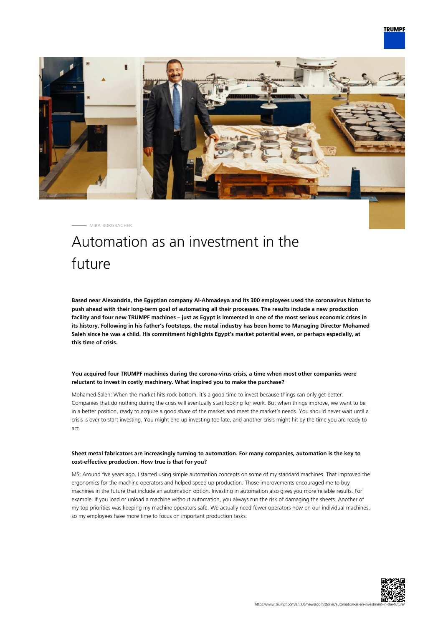

MIRA BURGBACHER

# Automation as an investment in the future

**Based near Alexandria, the Egyptian company Al-Ahmadeya and its 300 employees used the coronavirus hiatus to push ahead with their long-term goal of automating all their processes. The results include a new production facility and four new TRUMPF machines – just as Egypt is immersed in one of the most serious economic crises in its history. Following in his father's footsteps, the metal industry has been home to Managing Director Mohamed Saleh since he was a child. His commitment highlights Egypt's market potential even, or perhaps especially, at this time of crisis.**

#### **You acquired four TRUMPF machines during the corona-virus crisis, a time when most other companies were reluctant to invest in costly machinery. What inspired you to make the purchase?**

Mohamed Saleh: When the market hits rock bottom, it's a good time to invest because things can only get better. Companies that do nothing during the crisis will eventually start looking for work. But when things improve, we want to be in a better position, ready to acquire a good share of the market and meet the market's needs. You should never wait until a crisis is over to start investing. You might end up investing too late, and another crisis might hit by the time you are ready to act.

#### **Sheet metal fabricators are increasingly turning to automation. For many companies, automation is the key to cost-effective production. How true is that for you?**

MS: Around five years ago, I started using simple automation concepts on some of my standard machines. That improved the ergonomics for the machine operators and helped speed up production. Those improvements encouraged me to buy machines in the future that include an automation option. Investing in automation also gives you more reliable results. For example, if you load or unload a machine without automation, you always run the risk of damaging the sheets. Another of my top priorities was keeping my machine operators safe. We actually need fewer operators now on our individual machines, so my employees have more time to focus on important production tasks.

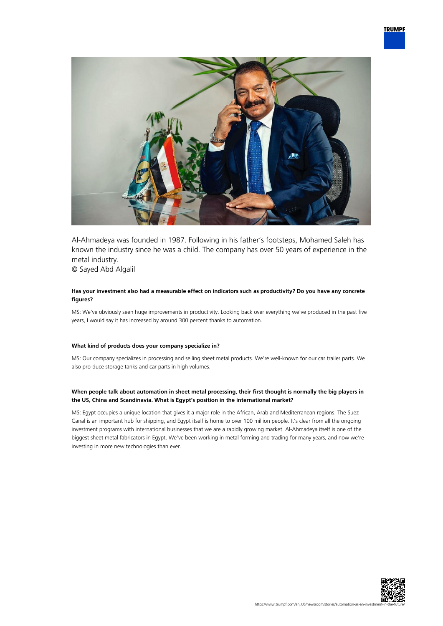

Al-Ahmadeya was founded in 1987. Following in his father's footsteps, Mohamed Saleh has known the industry since he was a child. The company has over 50 years of experience in the metal industry.

© Sayed Abd Algalil

#### **Has your investment also had a measurable effect on indicators such as productivity? Do you have any concrete figures?**

MS: We've obviously seen huge improvements in productivity. Looking back over everything we've produced in the past five years, I would say it has increased by around 300 percent thanks to automation.

#### **What kind of products does your company specialize in?**

MS: Our company specializes in processing and selling sheet metal products. We're well-known for our car trailer parts. We also pro-duce storage tanks and car parts in high volumes.

#### **When people talk about automation in sheet metal processing, their first thought is normally the big players in the US, China and Scandinavia. What is Egypt's position in the international market?**

MS: Egypt occupies a unique location that gives it a major role in the African, Arab and Mediterranean regions. The Suez Canal is an important hub for shipping, and Egypt itself is home to over 100 million people. It's clear from all the ongoing investment programs with international businesses that we are a rapidly growing market. Al-Ahmadeya itself is one of the biggest sheet metal fabricators in Egypt. We've been working in metal forming and trading for many years, and now we're investing in more new technologies than ever.